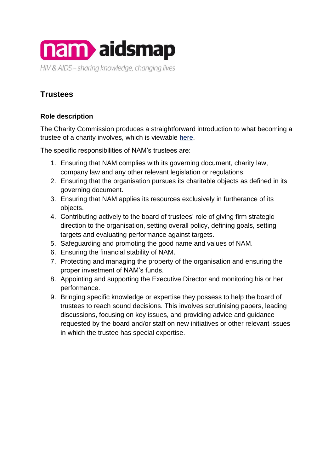

## **Trustees**

## **Role description**

The Charity Commission produces a straightforward introduction to what becoming a trustee of a charity involves, which is viewable [here.](https://www.gov.uk/government/publications/the-essential-trustee-what-you-need-to-know-cc3/the-essential-trustee-what-you-need-to-know-what-you-need-to-do)

The specific responsibilities of NAM's trustees are:

- 1. Ensuring that NAM complies with its governing document, charity law, company law and any other relevant legislation or regulations.
- 2. Ensuring that the organisation pursues its charitable objects as defined in its governing document.
- 3. Ensuring that NAM applies its resources exclusively in furtherance of its objects.
- 4. Contributing actively to the board of trustees' role of giving firm strategic direction to the organisation, setting overall policy, defining goals, setting targets and evaluating performance against targets.
- 5. Safeguarding and promoting the good name and values of NAM.
- 6. Ensuring the financial stability of NAM.
- 7. Protecting and managing the property of the organisation and ensuring the proper investment of NAM's funds.
- 8. Appointing and supporting the Executive Director and monitoring his or her performance.
- 9. Bringing specific knowledge or expertise they possess to help the board of trustees to reach sound decisions. This involves scrutinising papers, leading discussions, focusing on key issues, and providing advice and guidance requested by the board and/or staff on new initiatives or other relevant issues in which the trustee has special expertise.